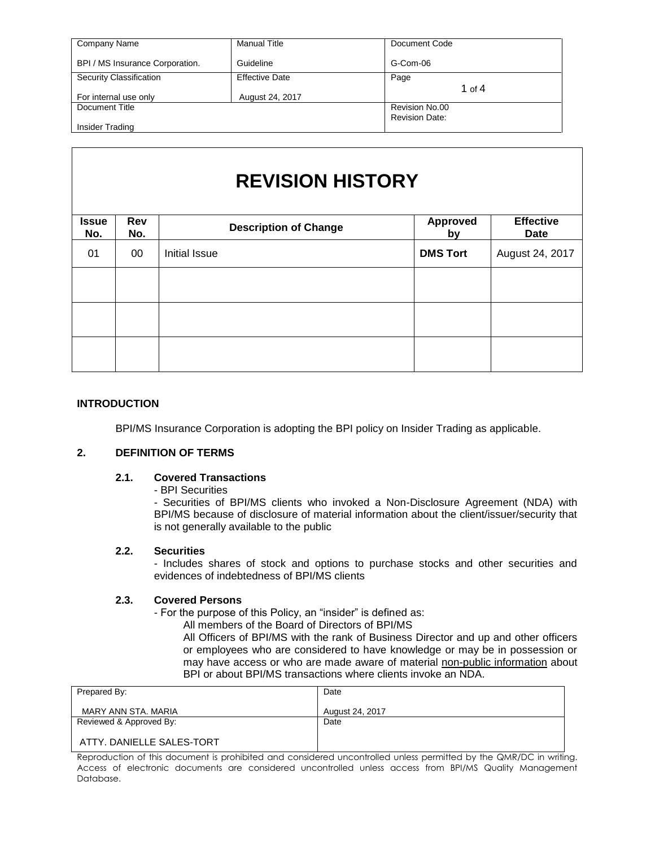| Company Name                    | <b>Manual Title</b>   | Document Code         |
|---------------------------------|-----------------------|-----------------------|
| BPI / MS Insurance Corporation. | Guideline             | G-Com-06              |
| Security Classification         | <b>Effective Date</b> | Page                  |
|                                 |                       | 1 of $4$              |
| For internal use only           | August 24, 2017       |                       |
| Document Title                  |                       | Revision No.00        |
|                                 |                       | <b>Revision Date:</b> |
| Insider Trading                 |                       |                       |

# **REVISION HISTORY**

| <b>Issue</b><br>No. | Rev<br>No. | <b>Description of Change</b> | <b>Approved</b><br>by | <b>Effective</b><br>Date |
|---------------------|------------|------------------------------|-----------------------|--------------------------|
| 01                  | $00\,$     | Initial Issue                | <b>DMS Tort</b>       | August 24, 2017          |
|                     |            |                              |                       |                          |
|                     |            |                              |                       |                          |
|                     |            |                              |                       |                          |
|                     |            |                              |                       |                          |

## **INTRODUCTION**

BPI/MS Insurance Corporation is adopting the BPI policy on Insider Trading as applicable.

## **2. DEFINITION OF TERMS**

#### **2.1. Covered Transactions**

- BPI Securities

- Securities of BPI/MS clients who invoked a Non-Disclosure Agreement (NDA) with BPI/MS because of disclosure of material information about the client/issuer/security that is not generally available to the public

#### **2.2. Securities**

- Includes shares of stock and options to purchase stocks and other securities and evidences of indebtedness of BPI/MS clients

## **2.3. Covered Persons**

- For the purpose of this Policy, an "insider" is defined as:

All members of the Board of Directors of BPI/MS

All Officers of BPI/MS with the rank of Business Director and up and other officers or employees who are considered to have knowledge or may be in possession or may have access or who are made aware of material non-public information about BPI or about BPI/MS transactions where clients invoke an NDA.

| Prepared By:              | Date            |
|---------------------------|-----------------|
| MARY ANN STA, MARIA       | August 24, 2017 |
| Reviewed & Approved By:   | Date            |
| ATTY, DANIELLE SALES-TORT |                 |

Reproduction of this document is prohibited and considered uncontrolled unless permitted by the QMR/DC in writing. Access of electronic documents are considered uncontrolled unless access from BPI/MS Quality Management Database.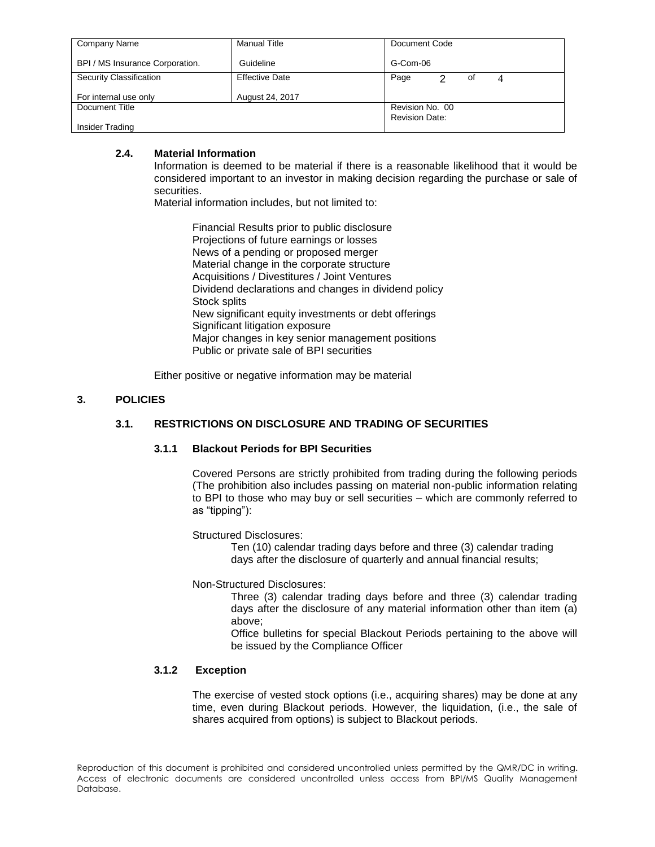| Company Name                    | <b>Manual Title</b>   | Document Code                            |
|---------------------------------|-----------------------|------------------------------------------|
| BPI / MS Insurance Corporation. | Guideline             | G-Com-06                                 |
| Security Classification         | <b>Effective Date</b> | Page<br>っ<br>οf<br>4                     |
| For internal use only           | August 24, 2017       |                                          |
| Document Title                  |                       | Revision No. 00<br><b>Revision Date:</b> |
| Insider Trading                 |                       |                                          |

# **2.4. Material Information**

Information is deemed to be material if there is a reasonable likelihood that it would be considered important to an investor in making decision regarding the purchase or sale of securities.

Material information includes, but not limited to:

Financial Results prior to public disclosure Projections of future earnings or losses News of a pending or proposed merger Material change in the corporate structure Acquisitions / Divestitures / Joint Ventures Dividend declarations and changes in dividend policy Stock splits New significant equity investments or debt offerings Significant litigation exposure Major changes in key senior management positions Public or private sale of BPI securities

Either positive or negative information may be material

## **3. POLICIES**

# **3.1. RESTRICTIONS ON DISCLOSURE AND TRADING OF SECURITIES**

#### **3.1.1 Blackout Periods for BPI Securities**

Covered Persons are strictly prohibited from trading during the following periods (The prohibition also includes passing on material non-public information relating to BPI to those who may buy or sell securities – which are commonly referred to as "tipping"):

Structured Disclosures:

Ten (10) calendar trading days before and three (3) calendar trading days after the disclosure of quarterly and annual financial results;

Non-Structured Disclosures:

Three (3) calendar trading days before and three (3) calendar trading days after the disclosure of any material information other than item (a) above;

Office bulletins for special Blackout Periods pertaining to the above will be issued by the Compliance Officer

# **3.1.2 Exception**

The exercise of vested stock options (i.e., acquiring shares) may be done at any time, even during Blackout periods. However, the liquidation, (i.e., the sale of shares acquired from options) is subject to Blackout periods.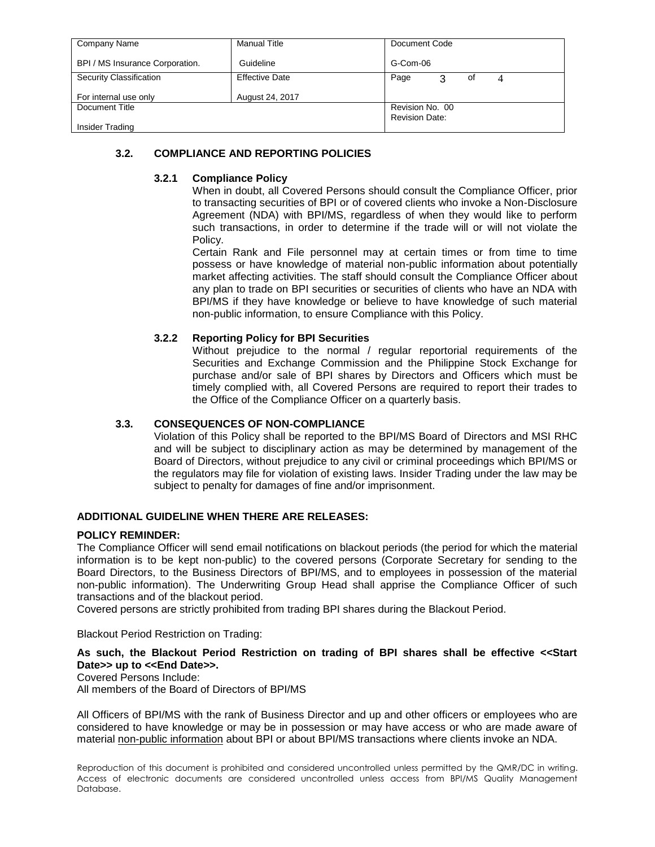| Company Name                    | <b>Manual Title</b>   | Document Code         |
|---------------------------------|-----------------------|-----------------------|
| BPI / MS Insurance Corporation. | Guideline             | G-Com-06              |
| Security Classification         | <b>Effective Date</b> | Page<br>3<br>οf       |
| For internal use only           | August 24, 2017       |                       |
| Document Title                  |                       | Revision No. 00       |
| Insider Trading                 |                       | <b>Revision Date:</b> |

# **3.2. COMPLIANCE AND REPORTING POLICIES**

# **3.2.1 Compliance Policy**

When in doubt, all Covered Persons should consult the Compliance Officer, prior to transacting securities of BPI or of covered clients who invoke a Non-Disclosure Agreement (NDA) with BPI/MS, regardless of when they would like to perform such transactions, in order to determine if the trade will or will not violate the Policy.

Certain Rank and File personnel may at certain times or from time to time possess or have knowledge of material non-public information about potentially market affecting activities. The staff should consult the Compliance Officer about any plan to trade on BPI securities or securities of clients who have an NDA with BPI/MS if they have knowledge or believe to have knowledge of such material non-public information, to ensure Compliance with this Policy.

# **3.2.2 Reporting Policy for BPI Securities**

Without prejudice to the normal / regular reportorial requirements of the Securities and Exchange Commission and the Philippine Stock Exchange for purchase and/or sale of BPI shares by Directors and Officers which must be timely complied with, all Covered Persons are required to report their trades to the Office of the Compliance Officer on a quarterly basis.

# **3.3. CONSEQUENCES OF NON-COMPLIANCE**

Violation of this Policy shall be reported to the BPI/MS Board of Directors and MSI RHC and will be subject to disciplinary action as may be determined by management of the Board of Directors, without prejudice to any civil or criminal proceedings which BPI/MS or the regulators may file for violation of existing laws. Insider Trading under the law may be subject to penalty for damages of fine and/or imprisonment.

# **ADDITIONAL GUIDELINE WHEN THERE ARE RELEASES:**

# **POLICY REMINDER:**

The Compliance Officer will send email notifications on blackout periods (the period for which the material information is to be kept non-public) to the covered persons (Corporate Secretary for sending to the Board Directors, to the Business Directors of BPI/MS, and to employees in possession of the material non-public information). The Underwriting Group Head shall apprise the Compliance Officer of such transactions and of the blackout period.

Covered persons are strictly prohibited from trading BPI shares during the Blackout Period.

Blackout Period Restriction on Trading:

**As such, the Blackout Period Restriction on trading of BPI shares shall be effective <<Start Date>> up to <<End Date>>.**

Covered Persons Include:

All members of the Board of Directors of BPI/MS

All Officers of BPI/MS with the rank of Business Director and up and other officers or employees who are considered to have knowledge or may be in possession or may have access or who are made aware of material non-public information about BPI or about BPI/MS transactions where clients invoke an NDA.

Reproduction of this document is prohibited and considered uncontrolled unless permitted by the QMR/DC in writing. Access of electronic documents are considered uncontrolled unless access from BPI/MS Quality Management Database.